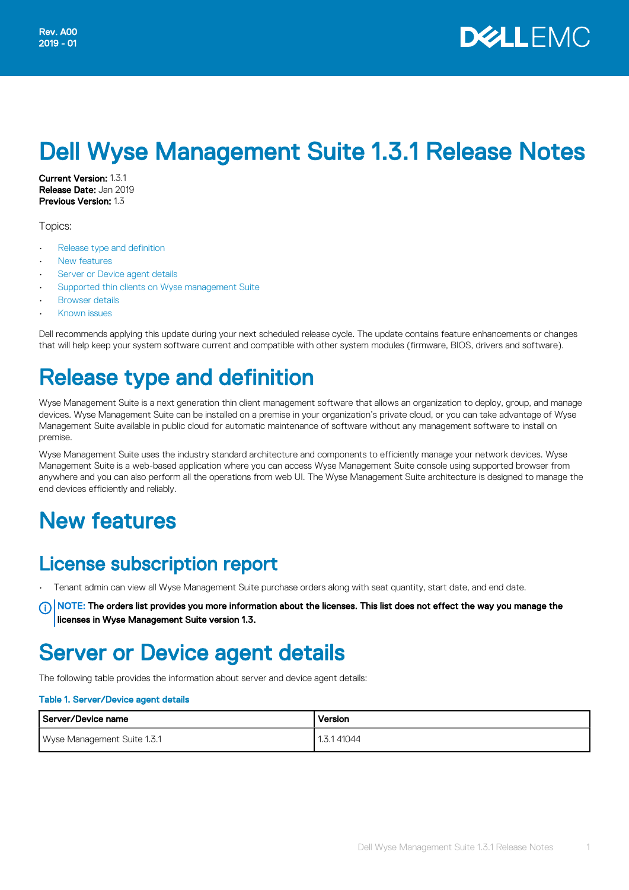# Dell Wyse Management Suite 1.3.1 Release Notes

Current Version: 1.3.1 Release Date: Jan 2019 Previous Version: 1.3

Topics:

- Release type and definition
- **New features**
- Server or Device agent details
- [Supported thin clients on Wyse management Suite](#page-1-0)
- **[Browser details](#page-2-0)**
- [Known issues](#page-3-0)

Dell recommends applying this update during your next scheduled release cycle. The update contains feature enhancements or changes that will help keep your system software current and compatible with other system modules (firmware, BIOS, drivers and software).

### Release type and definition

Wyse Management Suite is a next generation thin client management software that allows an organization to deploy, group, and manage devices. Wyse Management Suite can be installed on a premise in your organization's private cloud, or you can take advantage of Wyse Management Suite available in public cloud for automatic maintenance of software without any management software to install on premise.

Wyse Management Suite uses the industry standard architecture and components to efficiently manage your network devices. Wyse Management Suite is a web-based application where you can access Wyse Management Suite console using supported browser from anywhere and you can also perform all the operations from web UI. The Wyse Management Suite architecture is designed to manage the end devices efficiently and reliably.

## New features

### License subscription report

• Tenant admin can view all Wyse Management Suite purchase orders along with seat quantity, start date, and end date.

 $\cap$  NOTE: The orders list provides you more information about the licenses. This list does not effect the way you manage the licenses in Wyse Management Suite version 1.3.

### Server or Device agent details

The following table provides the information about server and device agent details:

#### Table 1. Server/Device agent details

| Server/Device name          | Version       |
|-----------------------------|---------------|
| Wyse Management Suite 1.3.1 | 41044<br>3.1. |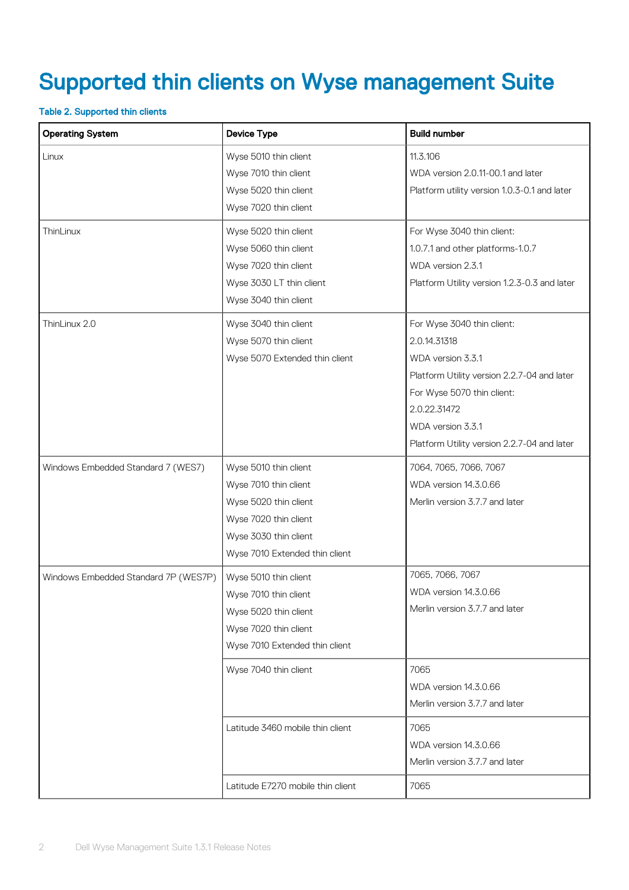# <span id="page-1-0"></span>Supported thin clients on Wyse management Suite

#### Table 2. Supported thin clients

| <b>Operating System</b>              | <b>Device Type</b>                | <b>Build number</b>                          |  |
|--------------------------------------|-----------------------------------|----------------------------------------------|--|
| Linux                                | Wyse 5010 thin client             | 11.3.106                                     |  |
|                                      | Wyse 7010 thin client             | WDA version 2.0.11-00.1 and later            |  |
|                                      | Wyse 5020 thin client             | Platform utility version 1.0.3-0.1 and later |  |
|                                      | Wyse 7020 thin client             |                                              |  |
| ThinLinux                            | Wyse 5020 thin client             | For Wyse 3040 thin client:                   |  |
|                                      | Wyse 5060 thin client             | 1.0.7.1 and other platforms-1.0.7            |  |
|                                      | Wyse 7020 thin client             | WDA version 2.3.1                            |  |
|                                      | Wyse 3030 LT thin client          | Platform Utility version 1.2.3-0.3 and later |  |
|                                      | Wyse 3040 thin client             |                                              |  |
| ThinLinux 2.0                        | Wyse 3040 thin client             | For Wyse 3040 thin client:                   |  |
|                                      | Wyse 5070 thin client             | 2.0.14.31318                                 |  |
|                                      | Wyse 5070 Extended thin client    | WDA version 3.3.1                            |  |
|                                      |                                   | Platform Utility version 2.2.7-04 and later  |  |
|                                      |                                   | For Wyse 5070 thin client:                   |  |
|                                      |                                   | 2.0.22.31472                                 |  |
|                                      |                                   | WDA version 3.3.1                            |  |
|                                      |                                   | Platform Utility version 2.2.7-04 and later  |  |
| Windows Embedded Standard 7 (WES7)   | Wyse 5010 thin client             | 7064, 7065, 7066, 7067                       |  |
|                                      | Wyse 7010 thin client             | WDA version 14.3.0.66                        |  |
|                                      | Wyse 5020 thin client             | Merlin version 3.7.7 and later               |  |
|                                      | Wyse 7020 thin client             |                                              |  |
|                                      | Wyse 3030 thin client             |                                              |  |
|                                      | Wyse 7010 Extended thin client    |                                              |  |
| Windows Embedded Standard 7P (WES7P) | Wyse 5010 thin client             | 7065, 7066, 7067                             |  |
|                                      | Wyse 7010 thin client             | WDA version 14.3.0.66                        |  |
|                                      | Wyse 5020 thin client             | Merlin version 3.7.7 and later               |  |
|                                      | Wyse 7020 thin client             |                                              |  |
|                                      | Wyse 7010 Extended thin client    |                                              |  |
|                                      | Wyse 7040 thin client             | 7065                                         |  |
|                                      |                                   | WDA version 14.3.0.66                        |  |
|                                      |                                   | Merlin version 3.7.7 and later               |  |
|                                      | Latitude 3460 mobile thin client  | 7065                                         |  |
|                                      |                                   | WDA version 14.3.0.66                        |  |
|                                      |                                   | Merlin version 3.7.7 and later               |  |
|                                      | Latitude E7270 mobile thin client | 7065                                         |  |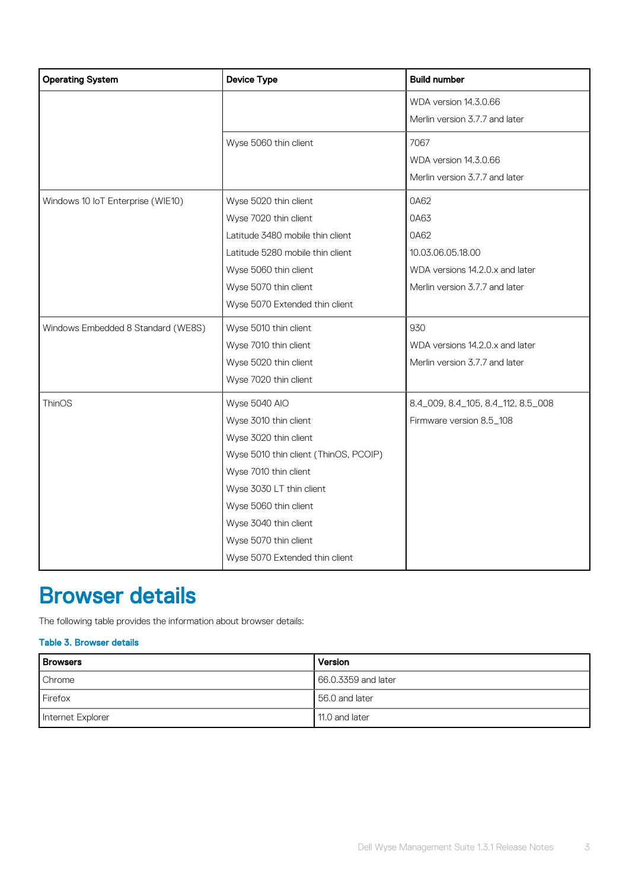<span id="page-2-0"></span>

| <b>Operating System</b>            | <b>Device Type</b>                    | <b>Build number</b>                |  |
|------------------------------------|---------------------------------------|------------------------------------|--|
|                                    |                                       | WDA version 14.3.0.66              |  |
|                                    |                                       |                                    |  |
|                                    | Wyse 5060 thin client                 | 7067                               |  |
|                                    |                                       | WDA version 14.3.0.66              |  |
|                                    |                                       | Merlin version 3.7.7 and later     |  |
| Windows 10 IoT Enterprise (WIE10)  | Wyse 5020 thin client                 | 0A62                               |  |
|                                    | Wyse 7020 thin client                 | 0A63                               |  |
|                                    | Latitude 3480 mobile thin client      | 0A62                               |  |
|                                    | Latitude 5280 mobile thin client      | 10.03.06.05.18.00                  |  |
|                                    | Wyse 5060 thin client                 | WDA versions 14.2.0.x and later    |  |
|                                    | Wyse 5070 thin client                 | Merlin version 3.7.7 and later     |  |
|                                    | Wyse 5070 Extended thin client        |                                    |  |
| Windows Embedded 8 Standard (WE8S) | Wyse 5010 thin client                 | 930                                |  |
|                                    | Wyse 7010 thin client                 | WDA versions 14.2.0.x and later    |  |
|                                    | Wyse 5020 thin client                 | Merlin version 3.7.7 and later     |  |
|                                    | Wyse 7020 thin client                 |                                    |  |
| <b>ThinOS</b>                      | Wyse 5040 AIO                         | 8.4_009, 8.4_105, 8.4_112, 8.5_008 |  |
|                                    | Wyse 3010 thin client                 | Firmware version 8.5_108           |  |
|                                    | Wyse 3020 thin client                 |                                    |  |
|                                    | Wyse 5010 thin client (ThinOS, PCOIP) |                                    |  |
|                                    | Wyse 7010 thin client                 |                                    |  |
|                                    | Wyse 3030 LT thin client              |                                    |  |
|                                    | Wyse 5060 thin client                 |                                    |  |
|                                    | Wyse 3040 thin client                 |                                    |  |
|                                    | Wyse 5070 thin client                 |                                    |  |
|                                    | Wyse 5070 Extended thin client        |                                    |  |

### Browser details

The following table provides the information about browser details:

#### Table 3. Browser details

| <b>Browsers</b>   | Version             |
|-------------------|---------------------|
| Chrome            | 66.0.3359 and later |
| Firefox           | 56.0 and later      |
| Internet Explorer | 11.0 and later      |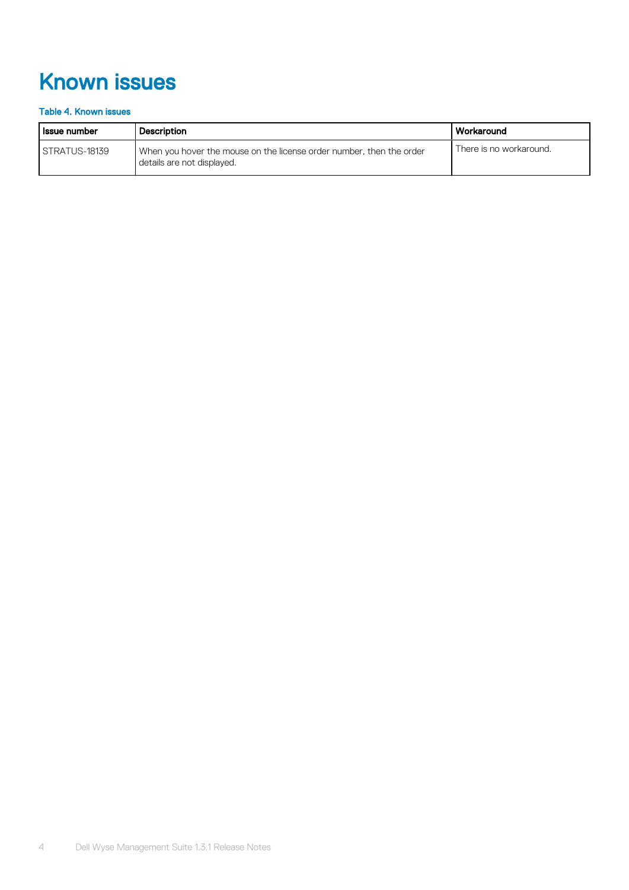# <span id="page-3-0"></span>Known issues

#### Table 4. Known issues

| l Issue number  | <b>Description</b>                                                                                 | l Workaround            |
|-----------------|----------------------------------------------------------------------------------------------------|-------------------------|
| I STRATUS-18139 | When you hover the mouse on the license order number, then the order<br>details are not displayed. | There is no workaround. |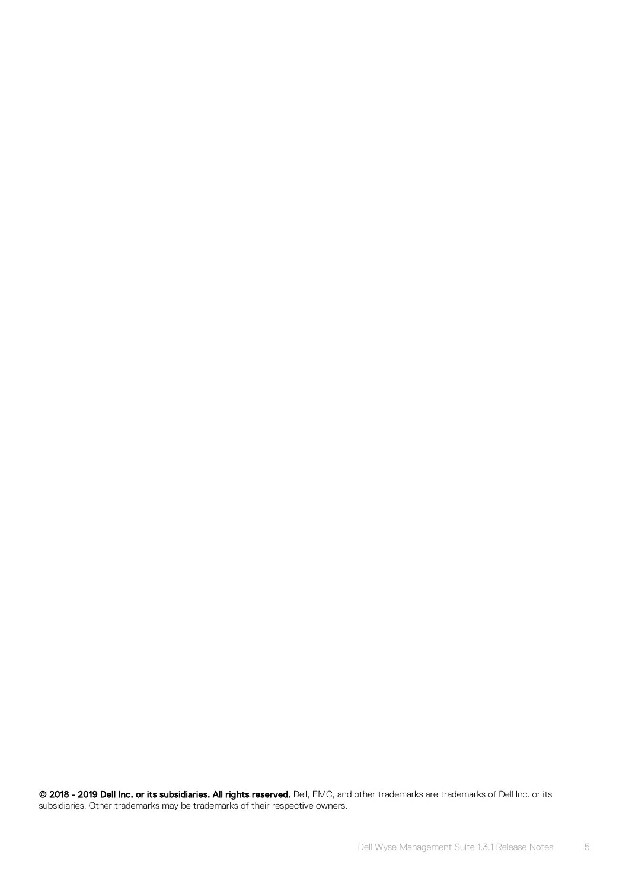© 2018 - 2019 Dell Inc. or its subsidiaries. All rights reserved. Dell, EMC, and other trademarks are trademarks of Dell Inc. or its subsidiaries. Other trademarks may be trademarks of their respective owners.